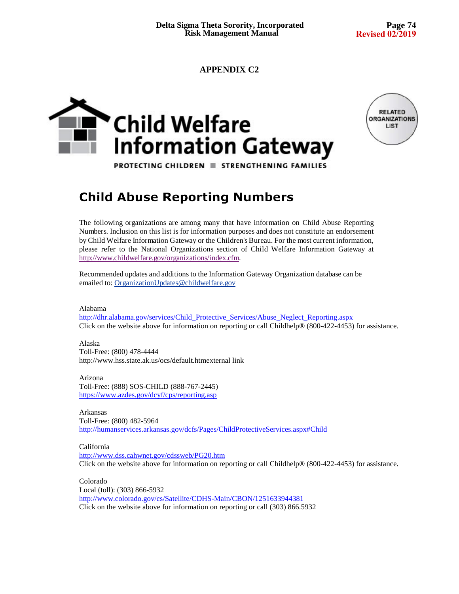### **APPENDIX C2**





PROTECTING CHILDREN E STRENGTHENING FAMILIES

### **Child Abuse Reporting Numbers**

The following organizations are among many that have information on Child Abuse Reporting Numbers. Inclusion on this list is for information purposes and does not constitute an endorsement by Child Welfare Information Gateway or the Children's Bureau. For the most current information, please refer to the National Organizations section of Child Welfare Information Gateway at http://www.childwelfare.gov/organizations/index.cfm.

Recommended updates and additions to the Information Gateway Organization database can be emailed to: OrganizationUpdates@childwelfare.gov

Alabama

http://dhr.alabama.gov/services/Child\_Protective\_Services/Abuse\_Neglect\_Reporting.aspx Click on the website above for information on reporting or call Childhelp® (800-422-4453) for assistance.

Alaska Toll-Free: (800) 478-4444 http://www.hss.state.ak.us/ocs/default.htmexternal link

Arizona Toll-Free: (888) SOS-CHILD (888-767-2445) https://www.azdes.gov/dcyf/cps/reporting.asp

Arkansas Toll-Free: (800) 482-5964 http://humanservices.arkansas.gov/dcfs/Pages/ChildProtectiveServices.aspx#Child

California http://www.dss.cahwnet.gov/cdssweb/PG20.htm Click on the website above for information on reporting or call Childhelp® (800-422-4453) for assistance.

Colorado Local (toll): (303) 866-5932 http://www.colorado.gov/cs/Satellite/CDHS-Main/CBON/1251633944381 Click on the website above for information on reporting or call (303) 866.5932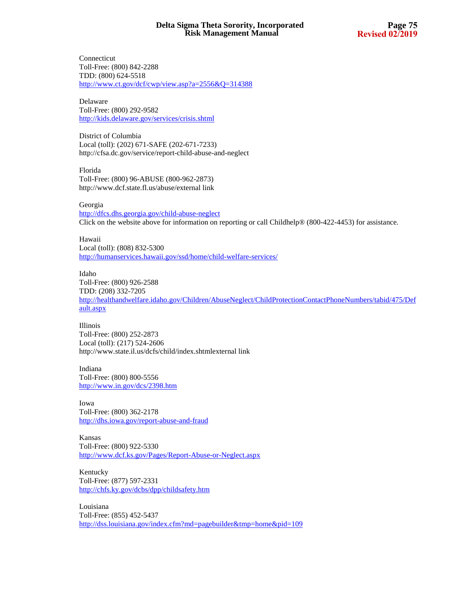Connecticut Toll-Free: (800) 842-2288 TDD: (800) 624-5518 http://www.ct.gov/dcf/cwp/view.asp?a=2556&Q=314388

Delaware Toll-Free: (800) 292-9582 http://kids.delaware.gov/services/crisis.shtml

District of Columbia Local (toll): (202) 671-SAFE (202-671-7233) http://cfsa.dc.gov/service/report-child-abuse-and-neglect

Florida Toll-Free: (800) 96-ABUSE (800-962-2873) http://www.dcf.state.fl.us/abuse/external link

Georgia http://dfcs.dhs.georgia.gov/child-abuse-neglect Click on the website above for information on reporting or call Childhelp® (800-422-4453) for assistance.

Hawaii Local (toll): (808) 832-5300 http://humanservices.hawaii.gov/ssd/home/child-welfare-services/

Idaho Toll-Free: (800) 926-2588 TDD: (208) 332-7205 http://healthandwelfare.idaho.gov/Children/AbuseNeglect/ChildProtectionContactPhoneNumbers/tabid/475/Def ault.aspx

Illinois Toll-Free: (800) 252-2873 Local (toll): (217) 524-2606 http://www.state.il.us/dcfs/child/index.shtmlexternal link

Indiana Toll-Free: (800) 800-5556 http://www.in.gov/dcs/2398.htm

Iowa Toll-Free: (800) 362-2178 http://dhs.iowa.gov/report-abuse-and-fraud

Kansas Toll-Free: (800) 922-5330 http://www.dcf.ks.gov/Pages/Report-Abuse-or-Neglect.aspx

Kentucky Toll-Free: (877) 597-2331 http://chfs.ky.gov/dcbs/dpp/childsafety.htm

Louisiana Toll-Free: (855) 452-5437 http://dss.louisiana.gov/index.cfm?md=pagebuilder&tmp=home&pid=109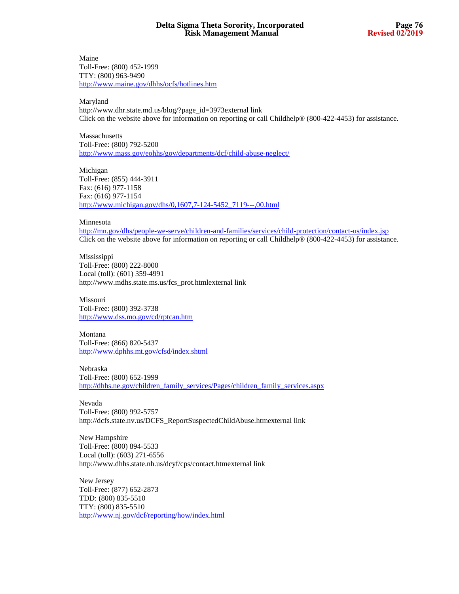Maine Toll-Free: (800) 452-1999 TTY: (800) 963-9490 http://www.maine.gov/dhhs/ocfs/hotlines.htm

Maryland

http://www.dhr.state.md.us/blog/?page\_id=3973external link Click on the website above for information on reporting or call Childhelp® (800-422-4453) for assistance.

Massachusetts Toll-Free: (800) 792-5200 http://www.mass.gov/eohhs/gov/departments/dcf/child-abuse-neglect/

Michigan Toll-Free: (855) 444-3911 Fax: (616) 977-1158 Fax: (616) 977-1154 http://www.michigan.gov/dhs/0,1607,7-124-5452\_7119---,00.html

#### Minnesota

http://mn.gov/dhs/people-we-serve/children-and-families/services/child-protection/contact-us/index.jsp Click on the website above for information on reporting or call Childhelp® (800-422-4453) for assistance.

Mississippi Toll-Free: (800) 222-8000 Local (toll): (601) 359-4991 http://www.mdhs.state.ms.us/fcs\_prot.htmlexternal link

Missouri Toll-Free: (800) 392-3738 http://www.dss.mo.gov/cd/rptcan.htm

Montana Toll-Free: (866) 820-5437 http://www.dphhs.mt.gov/cfsd/index.shtml

Nebraska Toll-Free: (800) 652-1999 http://dhhs.ne.gov/children\_family\_services/Pages/children\_family\_services.aspx

Nevada Toll-Free: (800) 992-5757 http://dcfs.state.nv.us/DCFS\_ReportSuspectedChildAbuse.htmexternal link

New Hampshire Toll-Free: (800) 894-5533 Local (toll): (603) 271-6556 http://www.dhhs.state.nh.us/dcyf/cps/contact.htmexternal link

New Jersey Toll-Free: (877) 652-2873 TDD: (800) 835-5510 TTY: (800) 835-5510 http://www.nj.gov/dcf/reporting/how/index.html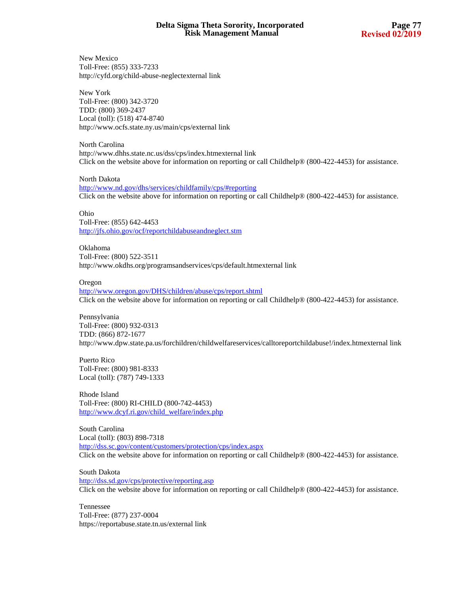New Mexico Toll-Free: (855) 333-7233 http://cyfd.org/child-abuse-neglectexternal link

New York Toll-Free: (800) 342-3720 TDD: (800) 369-2437 Local (toll): (518) 474-8740 http://www.ocfs.state.ny.us/main/cps/external link

North Carolina http://www.dhhs.state.nc.us/dss/cps/index.htmexternal link Click on the website above for information on reporting or call Childhelp® (800-422-4453) for assistance.

North Dakota http://www.nd.gov/dhs/services/childfamily/cps/#reporting Click on the website above for information on reporting or call Childhelp® (800-422-4453) for assistance.

Ohio Toll-Free: (855) 642-4453 http://jfs.ohio.gov/ocf/reportchildabuseandneglect.stm

Oklahoma Toll-Free: (800) 522-3511 http://www.okdhs.org/programsandservices/cps/default.htmexternal link

#### Oregon

http://www.oregon.gov/DHS/children/abuse/cps/report.shtml Click on the website above for information on reporting or call Childhelp® (800-422-4453) for assistance.

Pennsylvania Toll-Free: (800) 932-0313 TDD: (866) 872-1677 http://www.dpw.state.pa.us/forchildren/childwelfareservices/calltoreportchildabuse!/index.htmexternal link

Puerto Rico Toll-Free: (800) 981-8333 Local (toll): (787) 749-1333

Rhode Island Toll-Free: (800) RI-CHILD (800-742-4453) http://www.dcyf.ri.gov/child\_welfare/index.php

South Carolina Local (toll): (803) 898-7318 http://dss.sc.gov/content/customers/protection/cps/index.aspx Click on the website above for information on reporting or call Childhelp® (800-422-4453) for assistance.

South Dakota http://dss.sd.gov/cps/protective/reporting.asp Click on the website above for information on reporting or call Childhelp® (800-422-4453) for assistance.

Tennessee Toll-Free: (877) 237-0004 https://reportabuse.state.tn.us/external link